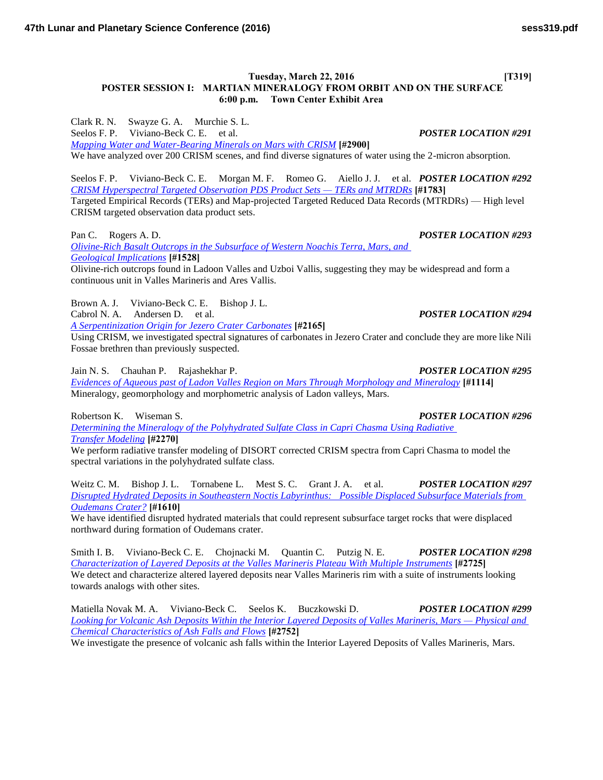**Tuesday, March 22, 2016** [T319] **POSTER SESSION I: MARTIAN MINERALOGY FROM ORBIT AND ON THE SURFACE 6:00 p.m. Town Center Exhibit Area**

Clark R. N. Swayze G. A. Murchie S. L. Seelos F. P. Viviano-Beck C. E. et al. *POSTER LOCATION #291 [Mapping Water and Water-Bearing Minerals on Mars with CRISM](http://www.hou.usra.edu/meetings/lpsc2016/pdf/2900.pdf)* **[#2900]** We have analyzed over 200 CRISM scenes, and find diverse signatures of water using the 2-micron absorption.

Seelos F. P. Viviano-Beck C. E. Morgan M. F. Romeo G. Aiello J. J. et al. *POSTER LOCATION #292 [CRISM Hyperspectral Targeted Observation PDS Product Sets — TERs and MTRDRs](http://www.hou.usra.edu/meetings/lpsc2016/pdf/1783.pdf)* **[#1783]** Targeted Empirical Records (TERs) and Map-projected Targeted Reduced Data Records (MTRDRs) — High level CRISM targeted observation data product sets.

Pan C. Rogers A. D. *POSTER LOCATION #293 [Olivine-Rich Basalt Outcrops in the Subsurface of Western Noachis Terra, Mars, and](http://www.hou.usra.edu/meetings/lpsc2016/pdf/1528.pdf)  [Geological Implications](http://www.hou.usra.edu/meetings/lpsc2016/pdf/1528.pdf)* **[#1528]**

Olivine-rich outcrops found in Ladoon Valles and Uzboi Vallis, suggesting they may be widespread and form a continuous unit in Valles Marineris and Ares Vallis.

Brown A. J. Viviano-Beck C. E. Bishop J. L. Cabrol N. A. Andersen D. et al. *POSTER LOCATION #294*

*[A Serpentinization Origin for Jezero Crater Carbonates](http://www.hou.usra.edu/meetings/lpsc2016/pdf/2165.pdf)* **[#2165]**

Using CRISM, we investigated spectral signatures of carbonates in Jezero Crater and conclude they are more like Nili Fossae brethren than previously suspected.

Jain N. S. Chauhan P. Rajashekhar P. *POSTER LOCATION #295*

*[Evidences of Aqueous past of Ladon Valles Region on Mars Through Morphology and Mineralogy](http://www.hou.usra.edu/meetings/lpsc2016/pdf/1114.pdf)* **[#1114]** Mineralogy, geomorphology and morphometric analysis of Ladon valleys, Mars.

*[Determining the Mineralogy of the Polyhydrated Sulfate Class in Capri Chasma Using Radiative](http://www.hou.usra.edu/meetings/lpsc2016/pdf/2270.pdf)  [Transfer Modeling](http://www.hou.usra.edu/meetings/lpsc2016/pdf/2270.pdf)* **[#2270]**

We perform radiative transfer modeling of DISORT corrected CRISM spectra from Capri Chasma to model the spectral variations in the polyhydrated sulfate class.

Weitz C. M. Bishop J. L. Tornabene L. Mest S. C. Grant J. A. et al. *POSTER LOCATION #297 [Disrupted Hydrated Deposits in Southeastern Noctis Labyrinthus: Possible Displaced Subsurface Materials from](http://www.hou.usra.edu/meetings/lpsc2016/pdf/1610.pdf)  [Oudemans Crater?](http://www.hou.usra.edu/meetings/lpsc2016/pdf/1610.pdf)* **[#1610]**

We have identified disrupted hydrated materials that could represent subsurface target rocks that were displaced northward during formation of Oudemans crater.

Smith I. B. Viviano-Beck C. E. Chojnacki M. Quantin C. Putzig N. E. *POSTER LOCATION #298 [Characterization of Layered Deposits at the Valles Marineris Plateau With Multiple Instruments](http://www.hou.usra.edu/meetings/lpsc2016/pdf/2725.pdf)* **[#2725]** We detect and characterize altered layered deposits near Valles Marineris rim with a suite of instruments looking towards analogs with other sites.

Matiella Novak M. A. Viviano-Beck C. Seelos K. Buczkowski D. *POSTER LOCATION #299 [Looking for Volcanic Ash Deposits Within the Interior Layered Deposits of Valles Marineris, Mars — Physical and](http://www.hou.usra.edu/meetings/lpsc2016/pdf/2752.pdf)  [Chemical Characteristics of Ash Falls and Flows](http://www.hou.usra.edu/meetings/lpsc2016/pdf/2752.pdf)* **[#2752]**

We investigate the presence of volcanic ash falls within the Interior Layered Deposits of Valles Marineris, Mars.

Robertson K. Wiseman S. *POSTER LOCATION #296*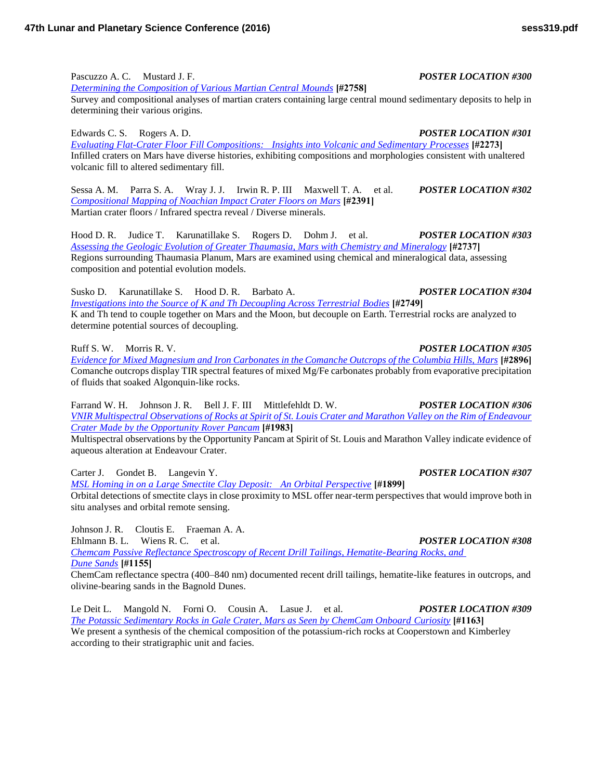Pascuzzo A. C. Mustard J. F. *POSTER LOCATION #300*

*[Determining the Composition of Various Martian Central Mounds](http://www.hou.usra.edu/meetings/lpsc2016/pdf/2758.pdf)* **[#2758]**

Survey and compositional analyses of martian craters containing large central mound sedimentary deposits to help in determining their various origins.

Edwards C. S. Rogers A. D. *POSTER LOCATION #301 [Evaluating Flat-Crater Floor Fill Compositions: Insights into Volcanic and Sedimentary Processes](http://www.hou.usra.edu/meetings/lpsc2016/pdf/2273.pdf)* **[#2273]** Infilled craters on Mars have diverse histories, exhibiting compositions and morphologies consistent with unaltered volcanic fill to altered sedimentary fill.

Sessa A. M. Parra S. A. Wray J. J. Irwin R. P. III Maxwell T. A. et al. *POSTER LOCATION #302 [Compositional Mapping of Noachian Impact Crater Floors on Mars](http://www.hou.usra.edu/meetings/lpsc2016/pdf/2391.pdf)* **[#2391]** Martian crater floors / Infrared spectra reveal / Diverse minerals.

Hood D. R. Judice T. Karunatillake S. Rogers D. Dohm J. et al. *POSTER LOCATION #303 [Assessing the Geologic Evolution of Greater Thaumasia, Mars with Chemistry and Mineralogy](http://www.hou.usra.edu/meetings/lpsc2016/pdf/2737.pdf)* **[#2737]** Regions surrounding Thaumasia Planum, Mars are examined using chemical and mineralogical data, assessing composition and potential evolution models.

Susko D. Karunatillake S. Hood D. R. Barbato A. *POSTER LOCATION #304 [Investigations into the Source of K and Th Decoupling Across Terrestrial Bodies](http://www.hou.usra.edu/meetings/lpsc2016/pdf/2749.pdf)* **[#2749]** K and Th tend to couple together on Mars and the Moon, but decouple on Earth. Terrestrial rocks are analyzed to determine potential sources of decoupling.

Ruff S. W. Morris R. V. *POSTER LOCATION #305*

*[Evidence for Mixed Magnesium and Iron Carbonates in the Comanche Outcrops of the Columbia Hills, Mars](http://www.hou.usra.edu/meetings/lpsc2016/pdf/2896.pdf)* **[#2896]** Comanche outcrops display TIR spectral features of mixed Mg/Fe carbonates probably from evaporative precipitation of fluids that soaked Algonquin-like rocks.

Farrand W. H. Johnson J. R. Bell J. F. III Mittlefehldt D. W. *POSTER LOCATION #306 [VNIR Multispectral Observations of Rocks at Spirit of St. Louis Crater and Marathon Valley on the Rim of Endeavour](http://www.hou.usra.edu/meetings/lpsc2016/pdf/1983.pdf)  [Crater Made by the Opportunity Rover Pancam](http://www.hou.usra.edu/meetings/lpsc2016/pdf/1983.pdf)* **[#1983]**

Multispectral observations by the Opportunity Pancam at Spirit of St. Louis and Marathon Valley indicate evidence of aqueous alteration at Endeavour Crater.

Carter J. Gondet B. Langevin Y. *POSTER LOCATION #307 [MSL Homing in on a Large Smectite Clay Deposit: An Orbital Perspective](http://www.hou.usra.edu/meetings/lpsc2016/pdf/1899.pdf)* **[#1899]** Orbital detections of smectite clays in close proximity to MSL offer near-term perspectives that would improve both in situ analyses and orbital remote sensing.

Johnson J. R. Cloutis E. Fraeman A. A. Ehlmann B. L. Wiens R. C. et al. *POSTER LOCATION #308 [Chemcam Passive Reflectance Spectroscopy of Recent Drill Tailings, Hematite-Bearing Rocks, and](http://www.hou.usra.edu/meetings/lpsc2016/pdf/1155.pdf)  [Dune Sands](http://www.hou.usra.edu/meetings/lpsc2016/pdf/1155.pdf)* **[#1155]**

ChemCam reflectance spectra (400–840 nm) documented recent drill tailings, hematite-like features in outcrops, and olivine-bearing sands in the Bagnold Dunes.

Le Deit L. Mangold N. Forni O. Cousin A. Lasue J. et al. *POSTER LOCATION #309 [The Potassic Sedimentary Rocks in Gale Crater, Mars as Seen by ChemCam Onboard Curiosity](http://www.hou.usra.edu/meetings/lpsc2016/pdf/1163.pdf)* **[#1163]** We present a synthesis of the chemical composition of the potassium-rich rocks at Cooperstown and Kimberley according to their stratigraphic unit and facies.